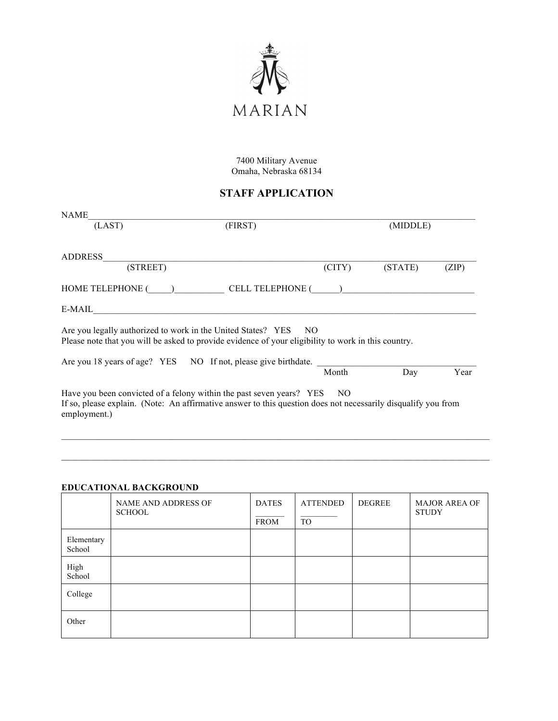

7400 Military Avenue Omaha, Nebraska 68134

# **STAFF APPLICATION**

| NAME                                                                                                                                                                                                     |         |        |          |       |
|----------------------------------------------------------------------------------------------------------------------------------------------------------------------------------------------------------|---------|--------|----------|-------|
| (LAST)                                                                                                                                                                                                   | (FIRST) |        | (MIDDLE) |       |
| ADDRESS                                                                                                                                                                                                  |         |        |          |       |
| (STREET)                                                                                                                                                                                                 |         | (CITY) | (STATE)  | (ZIP) |
| HOME TELEPHONE ( ) CELL TELEPHONE ( )                                                                                                                                                                    |         |        |          |       |
| E-MAIL                                                                                                                                                                                                   |         |        |          |       |
| Are you legally authorized to work in the United States? YES NO<br>Please note that you will be asked to provide evidence of your eligibility to work in this country.                                   |         |        |          |       |
| Are you 18 years of age? YES NO If not, please give birthdate.                                                                                                                                           |         |        |          |       |
|                                                                                                                                                                                                          |         | Month  | Day      | Year  |
| Have you been convicted of a felony within the past seven years? YES NO<br>If so, please explain. (Note: An affirmative answer to this question does not necessarily disqualify you from<br>employment.) |         |        |          |       |

## **EDUCATIONAL BACKGROUND**

|                      | <b>NAME AND ADDRESS OF</b><br><b>SCHOOL</b> | <b>DATES</b><br><b>FROM</b> | <b>ATTENDED</b><br><b>TO</b> | <b>DEGREE</b> | <b>MAJOR AREA OF</b><br><b>STUDY</b> |
|----------------------|---------------------------------------------|-----------------------------|------------------------------|---------------|--------------------------------------|
| Elementary<br>School |                                             |                             |                              |               |                                      |
| High<br>School       |                                             |                             |                              |               |                                      |
| College              |                                             |                             |                              |               |                                      |
| Other                |                                             |                             |                              |               |                                      |

 $\_$  , and the state of the state of the state of the state of the state of the state of the state of the state of the state of the state of the state of the state of the state of the state of the state of the state of the